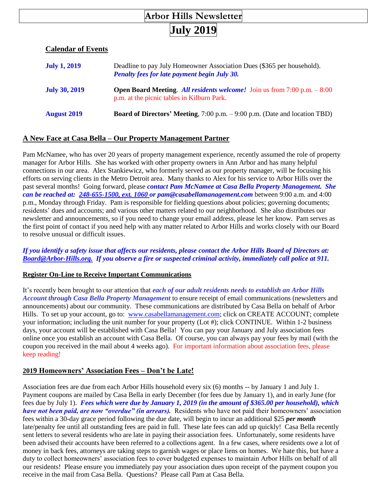# **Arbor Hills Newsletter**

# **July 2019**

#### **Calendar of Events**

| <b>July 1, 2019</b>  | Deadline to pay July Homeowner Association Dues (\$365 per household).<br><b>Penalty fees for late payment begin July 30.</b>    |
|----------------------|----------------------------------------------------------------------------------------------------------------------------------|
| <b>July 30, 2019</b> | <b>Open Board Meeting.</b> All residents welcome! Join us from $7:00$ p.m. $-8:00$<br>p.m. at the picnic tables in Kilburn Park. |
| <b>August 2019</b>   | <b>Board of Directors' Meeting,</b> 7:00 p.m. – 9:00 p.m. (Date and location TBD)                                                |

#### **A New Face at Casa Bella – Our Property Management Partner**

Pam McNamee, who has over 20 years of property management experience, recently assumed the role of property manager for Arbor Hills. She has worked with other property owners in Ann Arbor and has many helpful connections in our area. Alex Stankiewicz, who formerly served as our property manager, will be focusing his efforts on serving clients in the Metro Detroit area. Many thanks to Alex for his service to Arbor Hills over the past several months! Going forward, please *contact Pam McNamee at Casa Bella Property Management. She can be reached at: [248-655-1500, ext. 1060](mailto:248-655-1500,%20ext.%201060) or pam@casabellamanagement.com* between 9:00 a.m. and 4:00 p.m., Monday through Friday. Pam is responsible for fielding questions about policies; governing documents; residents' dues and accounts; and various other matters related to our neighborhood. She also distributes our newsletter and announcements, so if you need to change your email address, please let her know. Pam serves as the first point of contact if you need help with any matter related to Arbor Hills and works closely with our Board to resolve unusual or difficult issues.

#### *If you identify a safety issue that affects our residents, please contact the Arbor Hills Board of Directors at: [Board@Arbor-Hills.org.](mailto:Board@Arbor-Hills.org.) If you observe a fire or suspected criminal activity, immediately call police at 911.*

#### **Register On-Line to Receive Important Communications**

It's recently been brought to our attention that *each of our adult residents needs to establish an Arbor Hills Account through Casa Bella Property Management* to ensure receipt of email communications (newsletters and announcements) about our community. These communications are distributed by Casa Bella on behalf of Arbor Hills. To set up your account, go to: [www.casabellamanagement.com;](http://www.casabellamanagement.com/) click on CREATE ACCOUNT; complete your information; including the unit number for your property (Lot #); click CONTINUE. Within 1-2 business days, your account will be established with Casa Bella! You can pay your January and July association fees online once you establish an account with Casa Bella. Of course, you can always pay your fees by mail (with the coupon you received in the mail about 4 weeks ago). For important information about association fees, please keep reading!

# **2019 Homeowners' Association Fees – Don't be Late!**

Association fees are due from each Arbor Hills household every six (6) months -- by January 1 and July 1. Payment coupons are mailed by Casa Bella in early December (for fees due by January 1), and in early June (for fees due by July 1). *Fees which were due by January 1, 2019 (in the amount of \$365.00 per household), which have not been paid, are now "overdue" (in arrears).* Residents who have not paid their homeowners' association fees within a 30-day grace period following the due date, will begin to incur an additional \$25 *per month* late/penalty fee until all outstanding fees are paid in full. These late fees can add up quickly! Casa Bella recently sent letters to several residents who are late in paying their association fees. Unfortunately, some residents have been advised their accounts have been referred to a collections agent. In a few cases, where residents owe a lot of money in back fees, attorneys are taking steps to garnish wages or place liens on homes. We hate this, but have a duty to collect homeowners' association fees to cover budgeted expenses to maintain Arbor Hills on behalf of all our residents! Please ensure you immediately pay your association dues upon receipt of the payment coupon you receive in the mail from Casa Bella. Questions? Please call Pam at Casa Bella.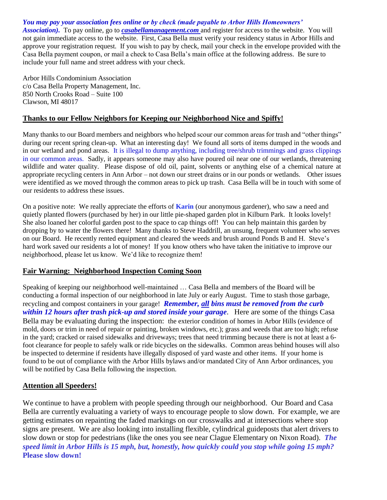*You may pay your association fees online or by check (made payable to Arbor Hills Homeowners' Association).* To pay online, go to *[casabellamanagement.com](http://casabellamanagement.com/)* and register for access to the website. You will not gain immediate access to the website. First, Casa Bella must verify your residency status in Arbor Hills and approve your registration request. If you wish to pay by check, mail your check in the envelope provided with the Casa Bella payment coupon, or mail a check to Casa Bella's main office at the following address. Be sure to include your full name and street address with your check.

Arbor Hills Condominium Association c/o Casa Bella Property Management, Inc. 850 North Crooks Road – Suite 100 Clawson, MI 48017

# **Thanks to our Fellow Neighbors for Keeping our Neighborhood Nice and Spiffy!**

Many thanks to our Board members and neighbors who helped scour our common areas for trash and "other things" during our recent spring clean-up. What an interesting day! We found all sorts of items dumped in the woods and in our wetland and pond areas. It is illegal to dump anything, including tree/shrub trimmings and grass clippings in our common areas. Sadly, it appears someone may also have poured oil near one of our wetlands, threatening wildlife and water quality. Please dispose of old oil, paint, solvents or anything else of a chemical nature at appropriate recycling centers in Ann Arbor – not down our street drains or in our ponds or wetlands. Other issues were identified as we moved through the common areas to pick up trash. Casa Bella will be in touch with some of our residents to address these issues.

On a positive note: We really appreciate the efforts of **Karin** (our anonymous gardener), who saw a need and quietly planted flowers (purchased by her) in our little pie-shaped garden plot in Kilburn Park. It looks lovely! She also loaned her colorful garden post to the space to cap things off! You can help maintain this garden by dropping by to water the flowers there! Many thanks to Steve Haddrill, an unsung, frequent volunteer who serves on our Board. He recently rented equipment and cleared the weeds and brush around Ponds B and H. Steve's hard work saved our residents a lot of money! If you know others who have taken the initiative to improve our neighborhood, please let us know. We'd like to recognize them!

# **Fair Warning: Neighborhood Inspection Coming Soon**

Speaking of keeping our neighborhood well-maintained … Casa Bella and members of the Board will be conducting a formal inspection of our neighborhood in late July or early August. Time to stash those garbage, recycling and compost containers in your garage! *Remember, all bins must be removed from the curb within 12 hours after trash pick-up and stored inside your garage*. Here are some of the things Casa Bella may be evaluating during the inspection: the exterior condition of homes in Arbor Hills (evidence of mold, doors or trim in need of repair or painting, broken windows, etc.); grass and weeds that are too high; refuse in the yard; cracked or raised sidewalks and driveways; trees that need trimming because there is not at least a 6 foot clearance for people to safely walk or ride bicycles on the sidewalks. Common areas behind houses will also be inspected to determine if residents have illegally disposed of yard waste and other items. If your home is found to be out of compliance with the Arbor Hills bylaws and/or mandated City of Ann Arbor ordinances, you will be notified by Casa Bella following the inspection.

# **Attention all Speeders!**

We continue to have a problem with people speeding through our neighborhood. Our Board and Casa Bella are currently evaluating a variety of ways to encourage people to slow down. For example, we are getting estimates on repainting the faded markings on our crosswalks and at intersections where stop signs are present. We are also looking into installing flexible, cylindrical guideposts that alert drivers to slow down or stop for pedestrians (like the ones you see near Clague Elementary on Nixon Road). *The speed limit in Arbor Hills is 15 mph, but, honestly, how quickly could you stop while going 15 mph?* **Please slow down!**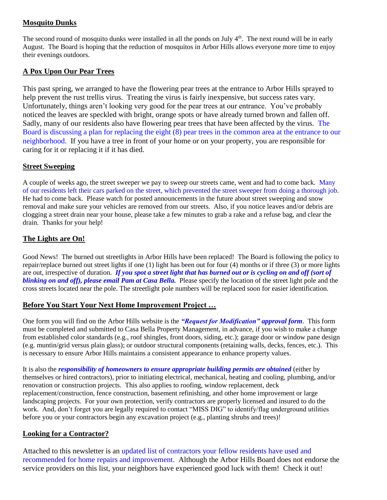# **Mosquito Dunks**

The second round of mosquito dunks were installed in all the ponds on July  $4<sup>th</sup>$ . The next round will be in early August. The Board is hoping that the reduction of mosquitos in Arbor Hills allows everyone more time to enjoy their evenings outdoors.

### **A Pox Upon Our Pear Trees**

This past spring, we arranged to have the flowering pear trees at the entrance to Arbor Hills sprayed to help prevent the rust trellis virus. Treating the virus is fairly inexpensive, but success rates vary. Unfortunately, things aren't looking very good for the pear trees at our entrance. You've probably noticed the leaves are speckled with bright, orange spots or have already turned brown and fallen off. Sadly, many of our residents also have flowering pear trees that have been affected by the virus. The Board is discussing a plan for replacing the eight (8) pear trees in the common area at the entrance to our neighborhood. If you have a tree in front of your home or on your property, you are responsible for caring for it or replacing it if it has died.

#### **Street Sweeping**

A couple of weeks ago, the street sweeper we pay to sweep our streets came, went and had to come back. Many of our residents left their cars parked on the street, which prevented the street sweeper from doing a thorough job. He had to come back. Please watch for posted announcements in the future about street sweeping and snow removal and make sure your vehicles are removed from our streets. Also, if you notice leaves and/or debris are clogging a street drain near your house, please take a few minutes to grab a rake and a refuse bag, and clear the drain. Thanks for your help!

# **The Lights are On!**

Good News! The burned out streetlights in Arbor Hills have been replaced! The Board is following the policy to repair/replace burned out street lights if one (1) light has been out for four (4) months or if three (3) or more lights are out, irrespective of duration. *If you spot a street light that has burned out or is cycling on and off (sort of blinking on and off), please email Pam at Casa Bella.* Please specify the location of the street light pole and the cross streets located near the pole. The streetlight pole numbers will be replaced soon for easier identification.

#### **Before You Start Your Next Home Improvement Project …**

One form you will find on the Arbor Hills website is the *"Request for Modification" approval form*. This form must be completed and submitted to Casa Bella Property Management, in advance, if you wish to make a change from established color standards (e.g., roof shingles, front doors, siding, etc.); garage door or window pane design (e.g. muntin/grid versus plain glass); or outdoor structural components (retaining walls, decks, fences, etc.). This is necessary to ensure Arbor Hills maintains a consistent appearance to enhance property values.

It is also the *responsibility of homeowners to ensure appropriate building permits are obtained* (either by themselves or hired contractors), prior to initiating electrical, mechanical, heating and cooling, plumbing, and/or renovation or construction projects. This also applies to roofing, window replacement, deck replacement/construction, fence construction, basement refinishing, and other home improvement or large landscaping projects. For your own protection, verify contractors are properly licensed and insured to do the work. And, don't forget you are legally required to contact "MISS DIG" to identify/flag underground utilities before you or your contractors begin any excavation project (e.g., planting shrubs and trees)!

# **Looking for a Contractor?**

Attached to this newsletter is an updated list of contractors your fellow residents have used and recommended for home repairs and improvement. Although the Arbor Hills Board does not endorse the service providers on this list, your neighbors have experienced good luck with them! Check it out!